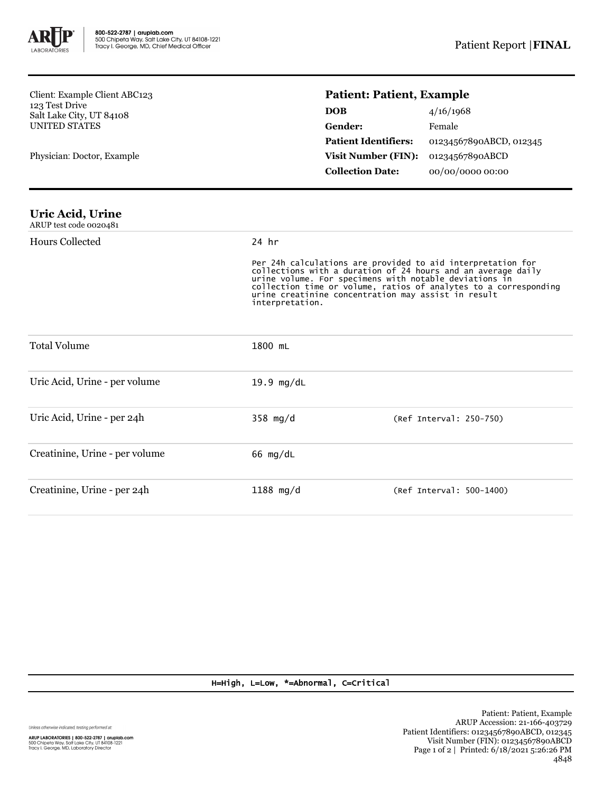

Client: Example Client ABC123 123 Test Drive Salt Lake City, UT 84108 UNITED STATES

Physician: Doctor, Example

## **Patient: Patient, Example**

| <b>DOB</b>                  | 4/16/1968               |
|-----------------------------|-------------------------|
| <b>Gender:</b>              | Female                  |
| <b>Patient Identifiers:</b> | 01234567890ABCD, 012345 |
| <b>Visit Number (FIN):</b>  | 01234567890ABCD         |
| <b>Collection Date:</b>     | 00/00/0000 00:00        |

| Uric Acid, Urine       |  |
|------------------------|--|
| ARUP test code 0020481 |  |

| <b>Hours Collected</b>         | 24 hr                |                                                                                                                                                                                                                                                                                                                  |  |  |
|--------------------------------|----------------------|------------------------------------------------------------------------------------------------------------------------------------------------------------------------------------------------------------------------------------------------------------------------------------------------------------------|--|--|
|                                | interpretation.      | Per 24h calculations are provided to aid interpretation for<br>collections with a duration of 24 hours and an average daily<br>urine volume. For specimens with notable deviations in<br>collection time or volume, ratios of analytes to a corresponding<br>urine creatinine concentration may assist in result |  |  |
| <b>Total Volume</b>            | 1800 mL              |                                                                                                                                                                                                                                                                                                                  |  |  |
| Uric Acid, Urine - per volume  | $19.9 \text{ mg/dL}$ |                                                                                                                                                                                                                                                                                                                  |  |  |
| Uric Acid, Urine - per 24h     | $358 \text{ mg/d}$   | (Ref Interval: 250-750)                                                                                                                                                                                                                                                                                          |  |  |
| Creatinine, Urine - per volume | 66 $mg/dL$           |                                                                                                                                                                                                                                                                                                                  |  |  |
| Creatinine, Urine - per 24h    | $1188$ mg/d          | (Ref Interval: 500-1400)                                                                                                                                                                                                                                                                                         |  |  |

## H=High, L=Low, \*=Abnormal, C=Critical

Unless otherwise indicated, testing performed at:

**ARUP LABORATORIES | 800-522-2787 | aruplab.com**<br>500 Chipeta Way, Salt Lake City, UT 84108-1221<br>Tracy I. George, MD, Laboratory Director